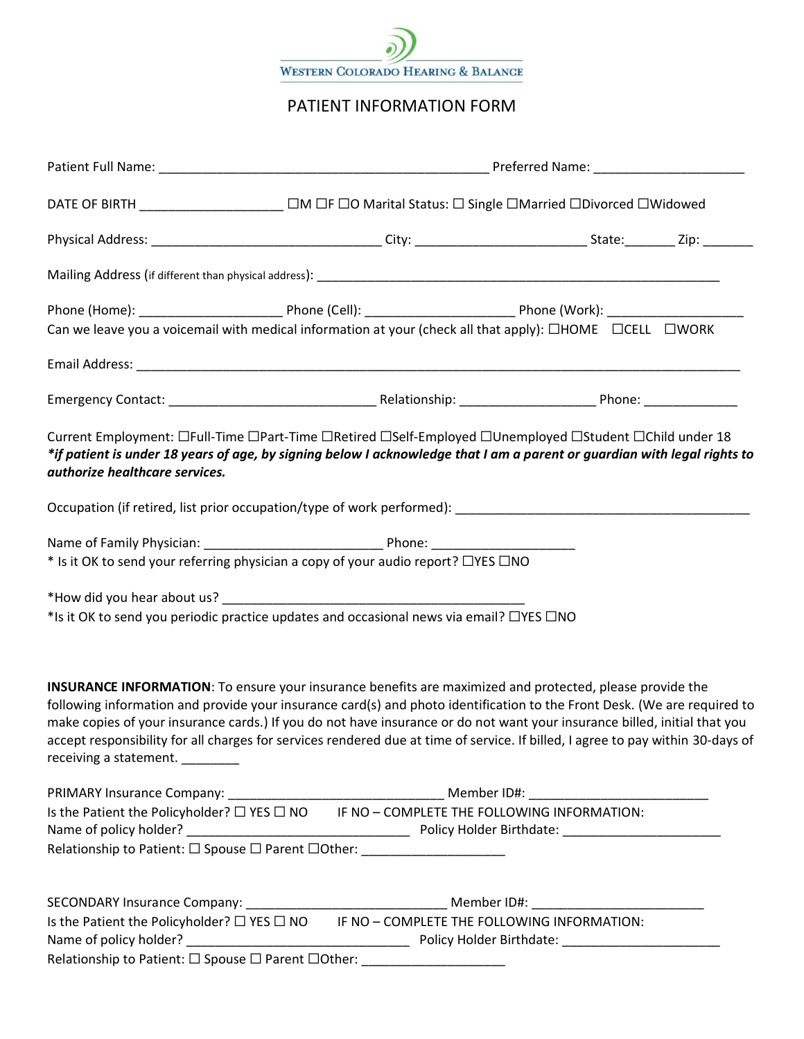

# PATIENT INFORMATION FORM

|                                                                                                                                                                                                                                                                                                                                                                                                                                                                                                                                                | DATE OF BIRTH ____________________ □M □F □O Marital Status: □ Single □Married □Divorced □Widowed |  |  |  |  |  |
|------------------------------------------------------------------------------------------------------------------------------------------------------------------------------------------------------------------------------------------------------------------------------------------------------------------------------------------------------------------------------------------------------------------------------------------------------------------------------------------------------------------------------------------------|--------------------------------------------------------------------------------------------------|--|--|--|--|--|
|                                                                                                                                                                                                                                                                                                                                                                                                                                                                                                                                                |                                                                                                  |  |  |  |  |  |
|                                                                                                                                                                                                                                                                                                                                                                                                                                                                                                                                                |                                                                                                  |  |  |  |  |  |
|                                                                                                                                                                                                                                                                                                                                                                                                                                                                                                                                                |                                                                                                  |  |  |  |  |  |
| Can we leave you a voicemail with medical information at your (check all that apply): $\Box$ HOME $\Box$ CELL $\Box$ WORK                                                                                                                                                                                                                                                                                                                                                                                                                      |                                                                                                  |  |  |  |  |  |
|                                                                                                                                                                                                                                                                                                                                                                                                                                                                                                                                                |                                                                                                  |  |  |  |  |  |
|                                                                                                                                                                                                                                                                                                                                                                                                                                                                                                                                                |                                                                                                  |  |  |  |  |  |
| Current Employment: □Full-Time □Part-Time □Retired □Self-Employed □Unemployed □Student □Child under 18<br>*if patient is under 18 years of age, by signing below I acknowledge that I am a parent or guardian with legal rights to<br>authorize healthcare services.                                                                                                                                                                                                                                                                           |                                                                                                  |  |  |  |  |  |
|                                                                                                                                                                                                                                                                                                                                                                                                                                                                                                                                                |                                                                                                  |  |  |  |  |  |
|                                                                                                                                                                                                                                                                                                                                                                                                                                                                                                                                                |                                                                                                  |  |  |  |  |  |
| * Is it OK to send your referring physician a copy of your audio report? $\Box$ YES $\Box$ NO                                                                                                                                                                                                                                                                                                                                                                                                                                                  |                                                                                                  |  |  |  |  |  |
|                                                                                                                                                                                                                                                                                                                                                                                                                                                                                                                                                |                                                                                                  |  |  |  |  |  |
| *Is it OK to send you periodic practice updates and occasional news via email? $\Box$ YES $\Box$ NO                                                                                                                                                                                                                                                                                                                                                                                                                                            |                                                                                                  |  |  |  |  |  |
| <b>INSURANCE INFORMATION:</b> To ensure your insurance benefits are maximized and protected, please provide the<br>following information and provide your insurance card(s) and photo identification to the Front Desk. (We are required to<br>make copies of your insurance cards.) If you do not have insurance or do not want your insurance billed, initial that you<br>accept responsibility for all charges for services rendered due at time of service. If billed, I agree to pay within 30-days of<br>receiving a statement. ________ |                                                                                                  |  |  |  |  |  |
|                                                                                                                                                                                                                                                                                                                                                                                                                                                                                                                                                |                                                                                                  |  |  |  |  |  |
| Is the Patient the Policyholder? $\Box$ YES $\Box$ NO $\Box$ IF NO - COMPLETE THE FOLLOWING INFORMATION:                                                                                                                                                                                                                                                                                                                                                                                                                                       |                                                                                                  |  |  |  |  |  |
| Relationship to Patient: $\Box$ Spouse $\Box$ Parent $\Box$ Other: ____________________                                                                                                                                                                                                                                                                                                                                                                                                                                                        |                                                                                                  |  |  |  |  |  |
|                                                                                                                                                                                                                                                                                                                                                                                                                                                                                                                                                |                                                                                                  |  |  |  |  |  |
| Is the Patient the Policyholder? $\Box$ YES $\Box$ NO $\qquad$ IF NO - COMPLETE THE FOLLOWING INFORMATION:                                                                                                                                                                                                                                                                                                                                                                                                                                     |                                                                                                  |  |  |  |  |  |
| Relationship to Patient: $\Box$ Spouse $\Box$ Parent $\Box$ Other: _____________________                                                                                                                                                                                                                                                                                                                                                                                                                                                       |                                                                                                  |  |  |  |  |  |
|                                                                                                                                                                                                                                                                                                                                                                                                                                                                                                                                                |                                                                                                  |  |  |  |  |  |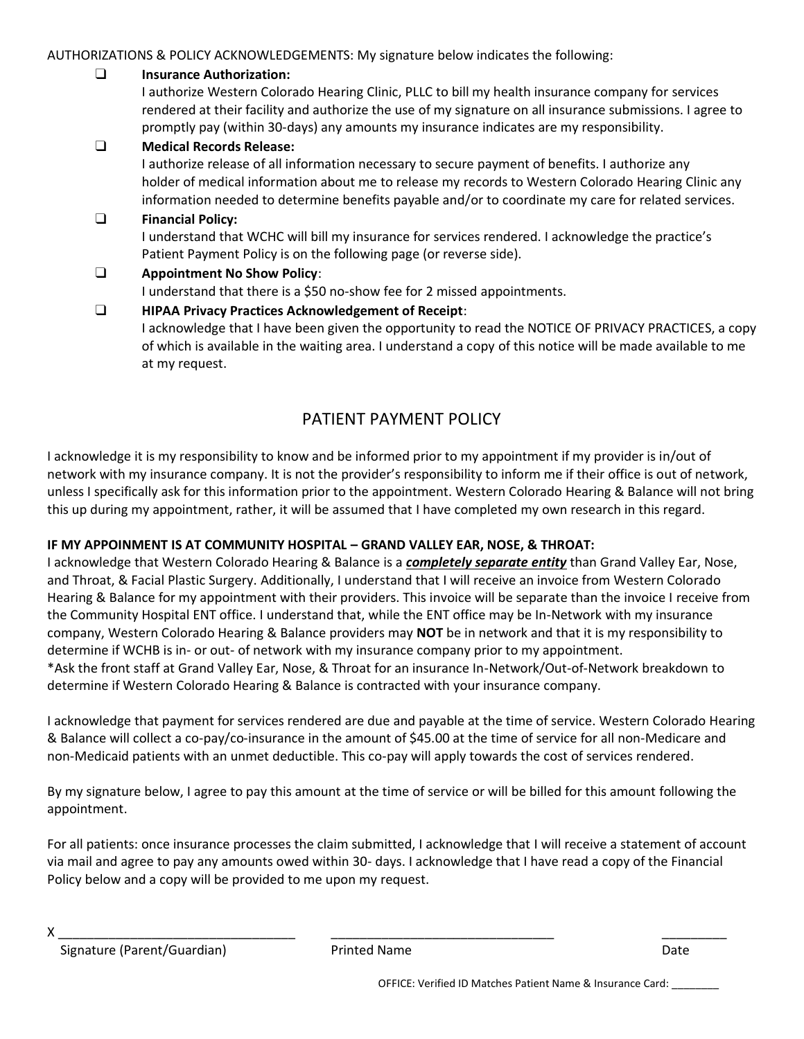AUTHORIZATIONS & POLICY ACKNOWLEDGEMENTS: My signature below indicates the following:

## ❑ **Insurance Authorization:**

I authorize Western Colorado Hearing Clinic, PLLC to bill my health insurance company for services rendered at their facility and authorize the use of my signature on all insurance submissions. I agree to promptly pay (within 30-days) any amounts my insurance indicates are my responsibility.

### ❑ **Medical Records Release:**

I authorize release of all information necessary to secure payment of benefits. I authorize any holder of medical information about me to release my records to Western Colorado Hearing Clinic any information needed to determine benefits payable and/or to coordinate my care for related services.

#### ❑ **Financial Policy:**

I understand that WCHC will bill my insurance for services rendered. I acknowledge the practice's Patient Payment Policy is on the following page (or reverse side).

### ❑ **Appointment No Show Policy**: I understand that there is a \$50 no-show fee for 2 missed appointments.

## ❑ **HIPAA Privacy Practices Acknowledgement of Receipt**:

I acknowledge that I have been given the opportunity to read the NOTICE OF PRIVACY PRACTICES, a copy of which is available in the waiting area. I understand a copy of this notice will be made available to me at my request.

# PATIENT PAYMENT POLICY

I acknowledge it is my responsibility to know and be informed prior to my appointment if my provider is in/out of network with my insurance company. It is not the provider's responsibility to inform me if their office is out of network, unless I specifically ask for this information prior to the appointment. Western Colorado Hearing & Balance will not bring this up during my appointment, rather, it will be assumed that I have completed my own research in this regard.

### **IF MY APPOINMENT IS AT COMMUNITY HOSPITAL – GRAND VALLEY EAR, NOSE, & THROAT:**

I acknowledge that Western Colorado Hearing & Balance is a *completely separate entity* than Grand Valley Ear, Nose, and Throat, & Facial Plastic Surgery. Additionally, I understand that I will receive an invoice from Western Colorado Hearing & Balance for my appointment with their providers. This invoice will be separate than the invoice I receive from the Community Hospital ENT office. I understand that, while the ENT office may be In-Network with my insurance company, Western Colorado Hearing & Balance providers may **NOT** be in network and that it is my responsibility to determine if WCHB is in- or out- of network with my insurance company prior to my appointment. \*Ask the front staff at Grand Valley Ear, Nose, & Throat for an insurance In-Network/Out-of-Network breakdown to determine if Western Colorado Hearing & Balance is contracted with your insurance company.

I acknowledge that payment for services rendered are due and payable at the time of service. Western Colorado Hearing & Balance will collect a co-pay/co-insurance in the amount of \$45.00 at the time of service for all non-Medicare and non-Medicaid patients with an unmet deductible. This co-pay will apply towards the cost of services rendered.

By my signature below, I agree to pay this amount at the time of service or will be billed for this amount following the appointment.

For all patients: once insurance processes the claim submitted, I acknowledge that I will receive a statement of account via mail and agree to pay any amounts owed within 30- days. I acknowledge that I have read a copy of the Financial Policy below and a copy will be provided to me upon my request.